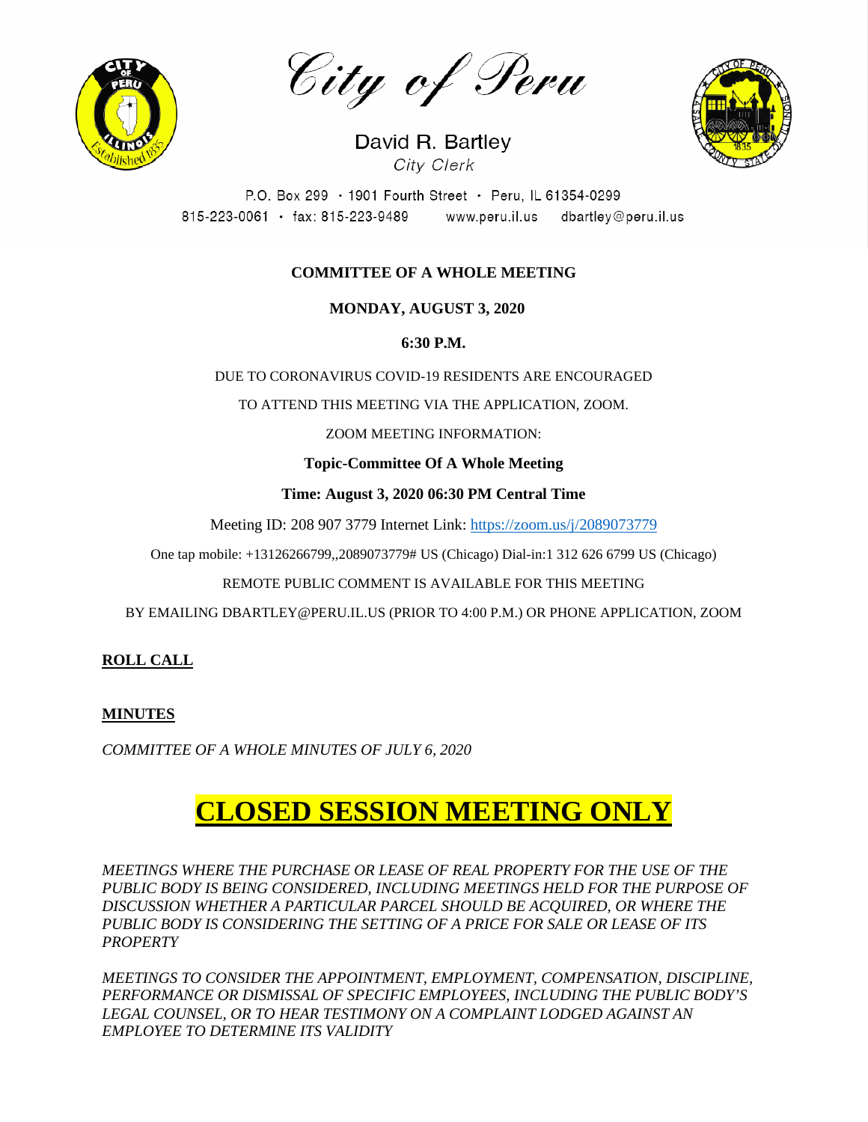

City of Peru



David R. Bartley City Clerk

P.O. Box 299 · 1901 Fourth Street · Peru, IL 61354-0299 815-223-0061 · fax: 815-223-9489 www.peru.il.us dbartley@peru.il.us

## **COMMITTEE OF A WHOLE MEETING**

 **MONDAY, AUGUST 3, 2020**

**6:30 P.M.**

DUE TO CORONAVIRUS COVID-19 RESIDENTS ARE ENCOURAGED

TO ATTEND THIS MEETING VIA THE APPLICATION, ZOOM.

ZOOM MEETING INFORMATION:

**Topic-Committee Of A Whole Meeting**

**Time: August 3, 2020 06:30 PM Central Time**

Meeting ID: 208 907 3779 Internet Link: <https://zoom.us/j/2089073779>

One tap mobile: +13126266799,,2089073779# US (Chicago) Dial-in:1 312 626 6799 US (Chicago)

REMOTE PUBLIC COMMENT IS AVAILABLE FOR THIS MEETING

BY EMAILING DBARTLEY@PERU.IL.US (PRIOR TO 4:00 P.M.) OR PHONE APPLICATION, ZOOM

**ROLL CALL**

## **MINUTES**

*COMMITTEE OF A WHOLE MINUTES OF JULY 6, 2020*

# **CLOSED SESSION MEETING ONLY**

*MEETINGS WHERE THE PURCHASE OR LEASE OF REAL PROPERTY FOR THE USE OF THE*  PUBLIC BODY IS BEING CONSIDERED, INCLUDING MEETINGS HELD FOR THE PURPOSE OF *DISCUSSION WHETHER A PARTICULAR PARCEL SHOULD BE ACQUIRED, OR WHERE THE PUBLIC BODY IS CONSIDERING THE SETTING OF A PRICE FOR SALE OR LEASE OF ITS PROPERTY*

*MEETINGS TO CONSIDER THE APPOINTMENT, EMPLOYMENT, COMPENSATION, DISCIPLINE, PERFORMANCE OR DISMISSAL OF SPECIFIC EMPLOYEES, INCLUDING THE PUBLIC BODY'S LEGAL COUNSEL, OR TO HEAR TESTIMONY ON A COMPLAINT LODGED AGAINST AN EMPLOYEE TO DETERMINE ITS VALIDITY*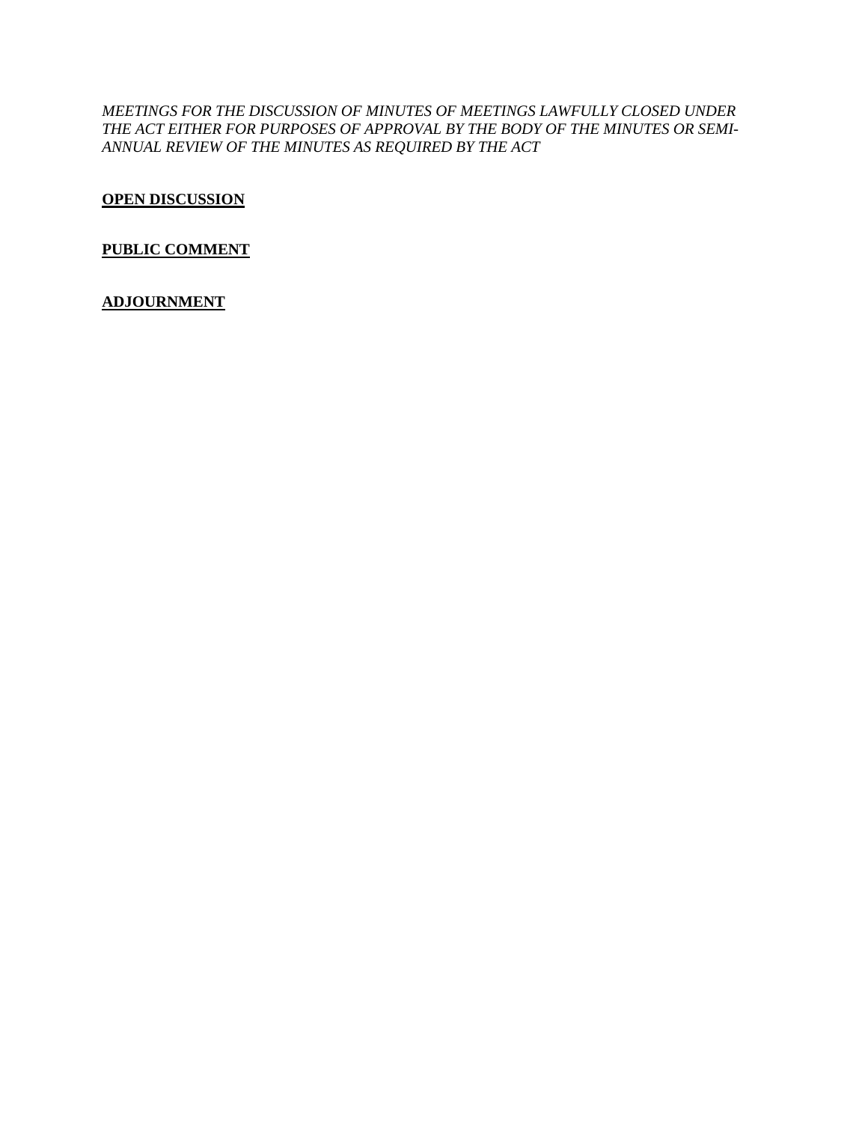*MEETINGS FOR THE DISCUSSION OF MINUTES OF MEETINGS LAWFULLY CLOSED UNDER THE ACT EITHER FOR PURPOSES OF APPROVAL BY THE BODY OF THE MINUTES OR SEMI-ANNUAL REVIEW OF THE MINUTES AS REQUIRED BY THE ACT*

**OPEN DISCUSSION**

## **PUBLIC COMMENT**

## **ADJOURNMENT**